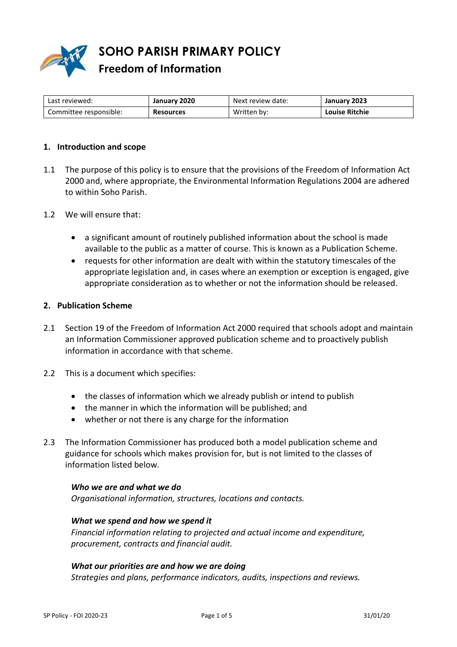

**SOHO PARISH PRIMARY POLICY Freedom of Information**

| Last reviewed:         | January 2020     | Next review date: | January 2023          |
|------------------------|------------------|-------------------|-----------------------|
| Committee responsible: | <b>Resources</b> | Written by:       | <b>Louise Ritchie</b> |

## **1. Introduction and scope**

- 1.1 The purpose of this policy is to ensure that the provisions of the Freedom of Information Act 2000 and, where appropriate, the Environmental Information Regulations 2004 are adhered to within Soho Parish.
- 1.2 We will ensure that:
	- a significant amount of routinely published information about the school is made available to the public as a matter of course. This is known as a Publication Scheme.
	- requests for other information are dealt with within the statutory timescales of the appropriate legislation and, in cases where an exemption or exception is engaged, give appropriate consideration as to whether or not the information should be released.

## **2. Publication Scheme**

- 2.1 Section 19 of the Freedom of Information Act 2000 required that schools adopt and maintain an Information Commissioner approved publication scheme and to proactively publish information in accordance with that scheme.
- 2.2 This is a document which specifies:
	- the classes of information which we already publish or intend to publish
	- the manner in which the information will be published; and
	- whether or not there is any charge for the information
- 2.3 The Information Commissioner has produced both a model publication scheme and guidance for schools which makes provision for, but is not limited to the classes of information listed below.

## *Who we are and what we do*

*Organisational information, structures, locations and contacts.* 

#### *What we spend and how we spend it*

*Financial information relating to projected and actual income and expenditure, procurement, contracts and financial audit.* 

## *What our priorities are and how we are doing*

*Strategies and plans, performance indicators, audits, inspections and reviews.*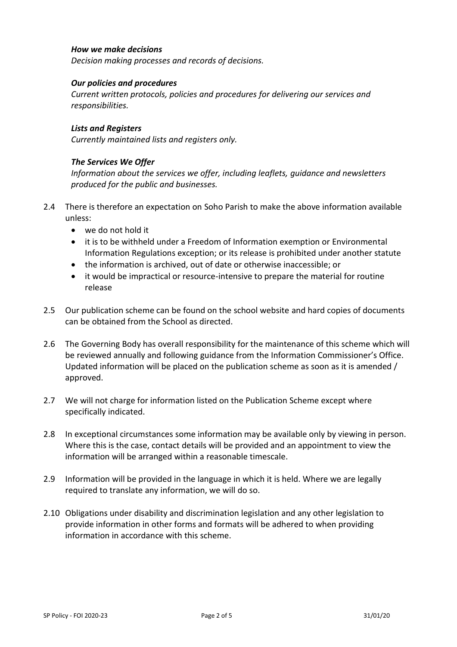## *How we make decisions*

*Decision making processes and records of decisions.* 

## *Our policies and procedures*

*Current written protocols, policies and procedures for delivering our services and responsibilities.* 

## *Lists and Registers*

*Currently maintained lists and registers only.* 

# *The Services We Offer*

*Information about the services we offer, including leaflets, guidance and newsletters produced for the public and businesses.* 

- 2.4 There is therefore an expectation on Soho Parish to make the above information available unless:
	- we do not hold it
	- it is to be withheld under a Freedom of Information exemption or Environmental Information Regulations exception; or its release is prohibited under another statute
	- the information is archived, out of date or otherwise inaccessible; or
	- it would be impractical or resource-intensive to prepare the material for routine release
- 2.5 Our publication scheme can be found on the school website and hard copies of documents can be obtained from the School as directed.
- 2.6 The Governing Body has overall responsibility for the maintenance of this scheme which will be reviewed annually and following guidance from the Information Commissioner's Office. Updated information will be placed on the publication scheme as soon as it is amended / approved.
- 2.7 We will not charge for information listed on the Publication Scheme except where specifically indicated.
- 2.8 In exceptional circumstances some information may be available only by viewing in person. Where this is the case, contact details will be provided and an appointment to view the information will be arranged within a reasonable timescale.
- 2.9 Information will be provided in the language in which it is held. Where we are legally required to translate any information, we will do so.
- 2.10 Obligations under disability and discrimination legislation and any other legislation to provide information in other forms and formats will be adhered to when providing information in accordance with this scheme.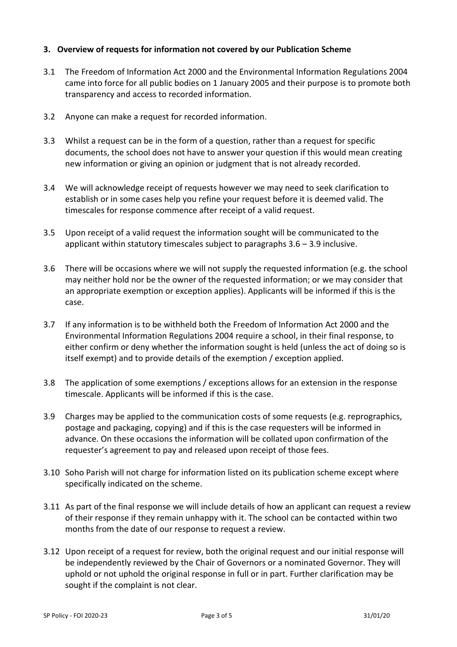# **3. Overview of requests for information not covered by our Publication Scheme**

- 3.1 The Freedom of Information Act 2000 and the Environmental Information Regulations 2004 came into force for all public bodies on 1 January 2005 and their purpose is to promote both transparency and access to recorded information.
- 3.2 Anyone can make a request for recorded information.
- 3.3 Whilst a request can be in the form of a question, rather than a request for specific documents, the school does not have to answer your question if this would mean creating new information or giving an opinion or judgment that is not already recorded.
- 3.4 We will acknowledge receipt of requests however we may need to seek clarification to establish or in some cases help you refine your request before it is deemed valid. The timescales for response commence after receipt of a valid request.
- 3.5 Upon receipt of a valid request the information sought will be communicated to the applicant within statutory timescales subject to paragraphs 3.6 – 3.9 inclusive.
- 3.6 There will be occasions where we will not supply the requested information (e.g. the school may neither hold nor be the owner of the requested information; or we may consider that an appropriate exemption or exception applies). Applicants will be informed if this is the case.
- 3.7 If any information is to be withheld both the Freedom of Information Act 2000 and the Environmental Information Regulations 2004 require a school, in their final response, to either confirm or deny whether the information sought is held (unless the act of doing so is itself exempt) and to provide details of the exemption / exception applied.
- 3.8 The application of some exemptions / exceptions allows for an extension in the response timescale. Applicants will be informed if this is the case.
- 3.9 Charges may be applied to the communication costs of some requests (e.g. reprographics, postage and packaging, copying) and if this is the case requesters will be informed in advance. On these occasions the information will be collated upon confirmation of the requester's agreement to pay and released upon receipt of those fees.
- 3.10 Soho Parish will not charge for information listed on its publication scheme except where specifically indicated on the scheme.
- 3.11 As part of the final response we will include details of how an applicant can request a review of their response if they remain unhappy with it. The school can be contacted within two months from the date of our response to request a review.
- 3.12 Upon receipt of a request for review, both the original request and our initial response will be independently reviewed by the Chair of Governors or a nominated Governor. They will uphold or not uphold the original response in full or in part. Further clarification may be sought if the complaint is not clear.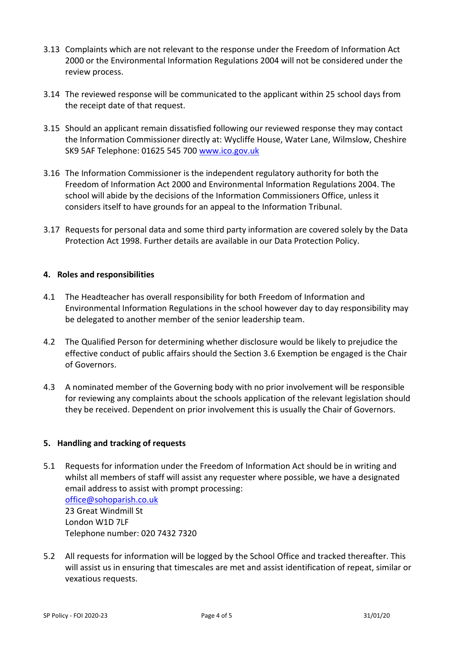- 3.13 Complaints which are not relevant to the response under the Freedom of Information Act 2000 or the Environmental Information Regulations 2004 will not be considered under the review process.
- 3.14 The reviewed response will be communicated to the applicant within 25 school days from the receipt date of that request.
- 3.15 Should an applicant remain dissatisfied following our reviewed response they may contact the Information Commissioner directly at: Wycliffe House, Water Lane, Wilmslow, Cheshire SK9 5AF Telephone: 01625 545 700 [www.ico.gov.uk](http://www.ico.gov.uk/)
- 3.16 The Information Commissioner is the independent regulatory authority for both the Freedom of Information Act 2000 and Environmental Information Regulations 2004. The school will abide by the decisions of the Information Commissioners Office, unless it considers itself to have grounds for an appeal to the Information Tribunal.
- 3.17 Requests for personal data and some third party information are covered solely by the Data Protection Act 1998. Further details are available in our Data Protection Policy.

# **4. Roles and responsibilities**

- 4.1 The Headteacher has overall responsibility for both Freedom of Information and Environmental Information Regulations in the school however day to day responsibility may be delegated to another member of the senior leadership team.
- 4.2 The Qualified Person for determining whether disclosure would be likely to prejudice the effective conduct of public affairs should the Section 3.6 Exemption be engaged is the Chair of Governors.
- 4.3 A nominated member of the Governing body with no prior involvement will be responsible for reviewing any complaints about the schools application of the relevant legislation should they be received. Dependent on prior involvement this is usually the Chair of Governors.

# **5. Handling and tracking of requests**

5.1 Requests for information under the Freedom of Information Act should be in writing and whilst all members of staff will assist any requester where possible, we have a designated email address to assist with prompt processing: [office@sohoparish.co.uk](mailto:admin@stgeorge.camden.sch.uk) 23 Great Windmill St London W1D 7LF

Telephone number: 020 7432 7320

5.2 All requests for information will be logged by the School Office and tracked thereafter. This will assist us in ensuring that timescales are met and assist identification of repeat, similar or vexatious requests.